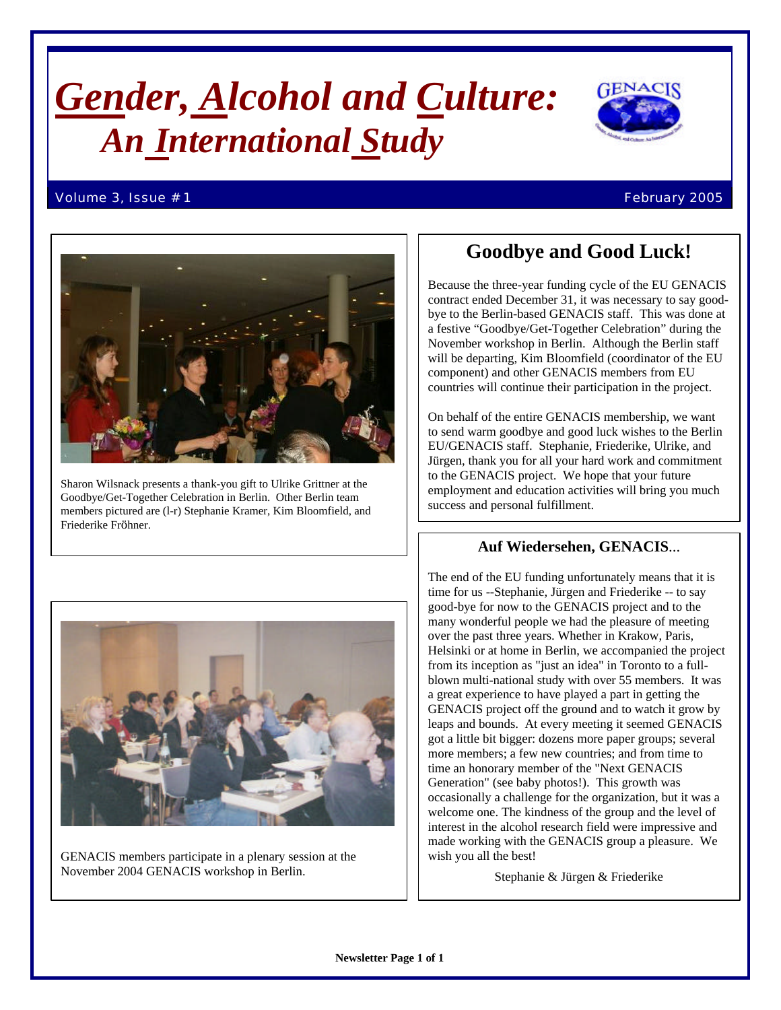# *Gender, Alcohol and Culture: An International Study*



#### Volume 3, Issue # 1 February 2005



Sharon Wilsnack presents a thank-you gift to Ulrike Grittner at the Goodbye/Get-Together Celebration in Berlin. Other Berlin team members pictured are (l-r) Stephanie Kramer, Kim Bloomfield, and Friederike Fröhner.

# **Goodbye and Good Luck!**

Because the three-year funding cycle of the EU GENACIS contract ended December 31, it was necessary to say goodbye to the Berlin-based GENACIS staff. This was done at a festive "Goodbye/Get-Together Celebration" during the November workshop in Berlin. Although the Berlin staff will be departing, Kim Bloomfield (coordinator of the EU component) and other GENACIS members from EU countries will continue their participation in the project.

On behalf of the entire GENACIS membership, we want to send warm goodbye and good luck wishes to the Berlin EU/GENACIS staff. Stephanie, Friederike, Ulrike, and Jürgen, thank you for all your hard work and commitment to the GENACIS project. We hope that your future employment and education activities will bring you much success and personal fulfillment.

# **Auf Wiedersehen, GENACIS**...



GENACIS members participate in a plenary session at the November 2004 GENACIS workshop in Berlin.

The end of the EU funding unfortunately means that it is time for us --Stephanie, Jürgen and Friederike -- to say good-bye for now to the GENACIS project and to the many wonderful people we had the pleasure of meeting over the past three years. Whether in Krakow, Paris, Helsinki or at home in Berlin, we accompanied the project from its inception as "just an idea" in Toronto to a fullblown multi-national study with over 55 members. It was a great experience to have played a part in getting the GENACIS project off the ground and to watch it grow by leaps and bounds. At every meeting it seemed GENACIS got a little bit bigger: dozens more paper groups; several more members; a few new countries; and from time to time an honorary member of the "Next GENACIS Generation" (see baby photos!). This growth was occasionally a challenge for the organization, but it was a welcome one. The kindness of the group and the level of interest in the alcohol research field were impressive and made working with the GENACIS group a pleasure. We wish you all the best!

Stephanie & Jürgen & Friederike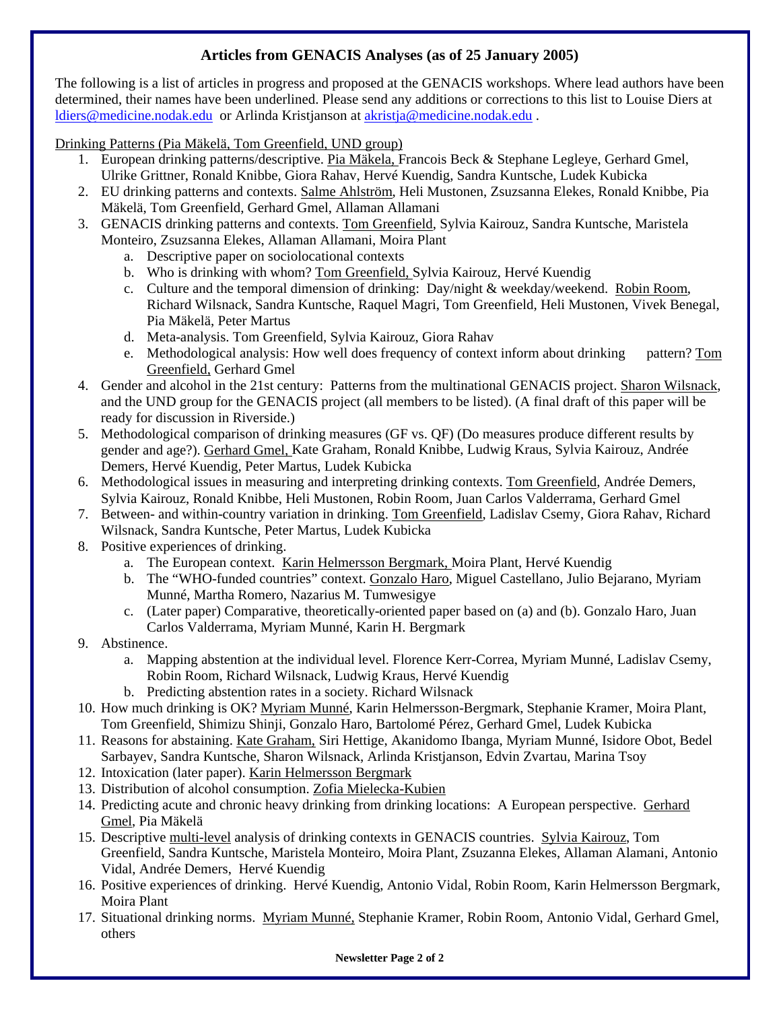# **Articles from GENACIS Analyses (as of 25 January 2005)**

The following is a list of articles in progress and proposed at the GENACIS workshops. Where lead authors have been determined, their names have been underlined. Please send any additions or corrections to this list to Louise Diers at ldiers@medicine.nodak.edu or Arlinda Kristjanson at akristja@medicine.nodak.edu .

Drinking Patterns (Pia Mäkelä, Tom Greenfield, UND group)

- 1. European drinking patterns/descriptive. Pia Mäkela, Francois Beck & Stephane Legleye, Gerhard Gmel, Ulrike Grittner, Ronald Knibbe, Giora Rahav, Hervé Kuendig, Sandra Kuntsche, Ludek Kubicka
- 2. EU drinking patterns and contexts. Salme Ahlström, Heli Mustonen, Zsuzsanna Elekes, Ronald Knibbe, Pia Mäkelä, Tom Greenfield, Gerhard Gmel, Allaman Allamani
- 3. GENACIS drinking patterns and contexts. Tom Greenfield, Sylvia Kairouz, Sandra Kuntsche, Maristela Monteiro, Zsuzsanna Elekes, Allaman Allamani, Moira Plant
	- a. Descriptive paper on sociolocational contexts
	- b. Who is drinking with whom? Tom Greenfield, Sylvia Kairouz, Hervé Kuendig
	- c. Culture and the temporal dimension of drinking: Day/night & weekday/weekend. Robin Room, Richard Wilsnack, Sandra Kuntsche, Raquel Magri, Tom Greenfield, Heli Mustonen, Vivek Benegal, Pia Mäkelä, Peter Martus
	- d. Meta-analysis. Tom Greenfield, Sylvia Kairouz, Giora Rahav
	- e. Methodological analysis: How well does frequency of context inform about drinking pattern? Tom Greenfield, Gerhard Gmel
- 4. Gender and alcohol in the 21st century: Patterns from the multinational GENACIS project. Sharon Wilsnack, and the UND group for the GENACIS project (all members to be listed). (A final draft of this paper will be ready for discussion in Riverside.)
- 5. Methodological comparison of drinking measures (GF vs. QF) (Do measures produce different results by gender and age?). Gerhard Gmel, Kate Graham, Ronald Knibbe, Ludwig Kraus, Sylvia Kairouz, Andrée Demers, Hervé Kuendig, Peter Martus, Ludek Kubicka
- 6. Methodological issues in measuring and interpreting drinking contexts. Tom Greenfield, Andrée Demers, Sylvia Kairouz, Ronald Knibbe, Heli Mustonen, Robin Room, Juan Carlos Valderrama, Gerhard Gmel
- 7. Between- and within-country variation in drinking. Tom Greenfield, Ladislav Csemy, Giora Rahav, Richard Wilsnack, Sandra Kuntsche, Peter Martus, Ludek Kubicka
- 8. Positive experiences of drinking.
	- a. The European context. Karin Helmersson Bergmark, Moira Plant, Hervé Kuendig
	- b. The "WHO-funded countries" context. Gonzalo Haro, Miguel Castellano, Julio Bejarano, Myriam Munné, Martha Romero, Nazarius M. Tumwesigye
	- c. (Later paper) Comparative, theoretically-oriented paper based on (a) and (b). Gonzalo Haro, Juan Carlos Valderrama, Myriam Munné, Karin H. Bergmark
- 9. Abstinence.
	- a. Mapping abstention at the individual level. Florence Kerr-Correa, Myriam Munné, Ladislav Csemy, Robin Room, Richard Wilsnack, Ludwig Kraus, Hervé Kuendig
	- b. Predicting abstention rates in a society. Richard Wilsnack
- 10. How much drinking is OK? Myriam Munné, Karin Helmersson-Bergmark, Stephanie Kramer, Moira Plant, Tom Greenfield, Shimizu Shinji, Gonzalo Haro, Bartolomé Pérez, Gerhard Gmel, Ludek Kubicka
- 11. Reasons for abstaining. Kate Graham, Siri Hettige, Akanidomo Ibanga, Myriam Munné, Isidore Obot, Bedel Sarbayev, Sandra Kuntsche, Sharon Wilsnack, Arlinda Kristjanson, Edvin Zvartau, Marina Tsoy
- 12. Intoxication (later paper). Karin Helmersson Bergmark
- 13. Distribution of alcohol consumption. Zofia Mielecka-Kubien
- 14. Predicting acute and chronic heavy drinking from drinking locations: A European perspective. Gerhard Gmel, Pia Mäkelä
- 15. Descriptive multi-level analysis of drinking contexts in GENACIS countries. Sylvia Kairouz, Tom Greenfield, Sandra Kuntsche, Maristela Monteiro, Moira Plant, Zsuzanna Elekes, Allaman Alamani, Antonio Vidal, Andrée Demers, Hervé Kuendig
- 16. Positive experiences of drinking. Hervé Kuendig, Antonio Vidal, Robin Room, Karin Helmersson Bergmark, Moira Plant
- 17. Situational drinking norms. Myriam Munné, Stephanie Kramer, Robin Room, Antonio Vidal, Gerhard Gmel, others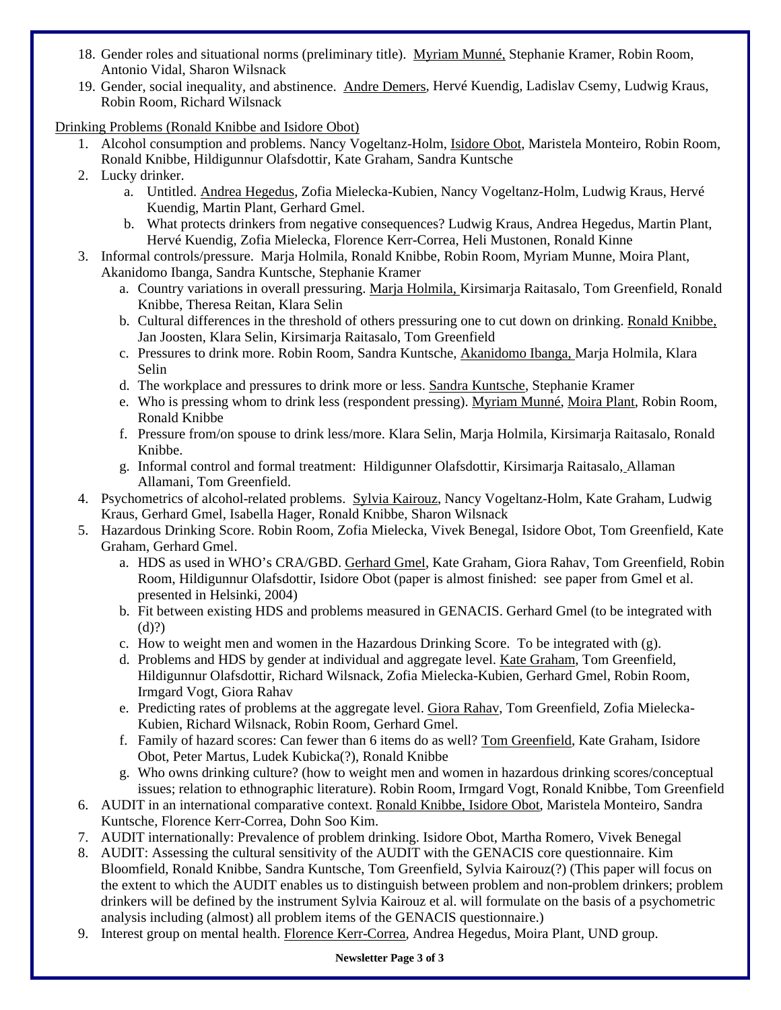- 18. Gender roles and situational norms (preliminary title). Myriam Munné, Stephanie Kramer, Robin Room, Antonio Vidal, Sharon Wilsnack
- 19. Gender, social inequality, and abstinence. Andre Demers, Hervé Kuendig, Ladislav Csemy, Ludwig Kraus, Robin Room, Richard Wilsnack

Drinking Problems (Ronald Knibbe and Isidore Obot)

- 1. Alcohol consumption and problems. Nancy Vogeltanz-Holm, Isidore Obot, Maristela Monteiro, Robin Room, Ronald Knibbe, Hildigunnur Olafsdottir, Kate Graham, Sandra Kuntsche
- 2. Lucky drinker.
	- a. Untitled. Andrea Hegedus, Zofia Mielecka-Kubien, Nancy Vogeltanz-Holm, Ludwig Kraus, Hervé Kuendig, Martin Plant, Gerhard Gmel.
	- b. What protects drinkers from negative consequences? Ludwig Kraus, Andrea Hegedus, Martin Plant, Hervé Kuendig, Zofia Mielecka, Florence Kerr-Correa, Heli Mustonen, Ronald Kinne
- 3. Informal controls/pressure. Marja Holmila, Ronald Knibbe, Robin Room, Myriam Munne, Moira Plant, Akanidomo Ibanga, Sandra Kuntsche, Stephanie Kramer
	- a. Country variations in overall pressuring. Marja Holmila, Kirsimarja Raitasalo, Tom Greenfield, Ronald Knibbe, Theresa Reitan, Klara Selin
	- b. Cultural differences in the threshold of others pressuring one to cut down on drinking. Ronald Knibbe, Jan Joosten, Klara Selin, Kirsimarja Raitasalo, Tom Greenfield
	- c. Pressures to drink more. Robin Room, Sandra Kuntsche, Akanidomo Ibanga, Marja Holmila, Klara Selin
	- d. The workplace and pressures to drink more or less. Sandra Kuntsche, Stephanie Kramer
	- e. Who is pressing whom to drink less (respondent pressing). Myriam Munné, Moira Plant, Robin Room, Ronald Knibbe
	- f. Pressure from/on spouse to drink less/more. Klara Selin, Marja Holmila, Kirsimarja Raitasalo, Ronald Knibbe.
	- g. Informal control and formal treatment: Hildigunner Olafsdottir, Kirsimarja Raitasalo, Allaman Allamani, Tom Greenfield.
- 4. Psychometrics of alcohol-related problems. Sylvia Kairouz, Nancy Vogeltanz-Holm, Kate Graham, Ludwig Kraus, Gerhard Gmel, Isabella Hager, Ronald Knibbe, Sharon Wilsnack
- 5. Hazardous Drinking Score. Robin Room, Zofia Mielecka, Vivek Benegal, Isidore Obot, Tom Greenfield, Kate Graham, Gerhard Gmel.
	- a. HDS as used in WHO's CRA/GBD. Gerhard Gmel, Kate Graham, Giora Rahav, Tom Greenfield, Robin Room, Hildigunnur Olafsdottir, Isidore Obot (paper is almost finished: see paper from Gmel et al. presented in Helsinki, 2004)
	- b. Fit between existing HDS and problems measured in GENACIS. Gerhard Gmel (to be integrated with (d)?)
	- c. How to weight men and women in the Hazardous Drinking Score. To be integrated with (g).
	- d. Problems and HDS by gender at individual and aggregate level. Kate Graham, Tom Greenfield, Hildigunnur Olafsdottir, Richard Wilsnack, Zofia Mielecka-Kubien, Gerhard Gmel, Robin Room, Irmgard Vogt, Giora Rahav
	- e. Predicting rates of problems at the aggregate level. Giora Rahav, Tom Greenfield, Zofia Mielecka-Kubien, Richard Wilsnack, Robin Room, Gerhard Gmel.
	- f. Family of hazard scores: Can fewer than 6 items do as well? Tom Greenfield, Kate Graham, Isidore Obot, Peter Martus*,* Ludek Kubicka(?), Ronald Knibbe
	- g. Who owns drinking culture? (how to weight men and women in hazardous drinking scores/conceptual issues; relation to ethnographic literature). Robin Room, Irmgard Vogt, Ronald Knibbe, Tom Greenfield
- 6. AUDIT in an international comparative context. Ronald Knibbe, Isidore Obot, Maristela Monteiro, Sandra Kuntsche, Florence Kerr-Correa, Dohn Soo Kim.
- 7. AUDIT internationally: Prevalence of problem drinking. Isidore Obot, Martha Romero, Vivek Benegal
- 8. AUDIT: Assessing the cultural sensitivity of the AUDIT with the GENACIS core questionnaire. Kim Bloomfield, Ronald Knibbe, Sandra Kuntsche, Tom Greenfield, Sylvia Kairouz(?) (This paper will focus on the extent to which the AUDIT enables us to distinguish between problem and non-problem drinkers; problem drinkers will be defined by the instrument Sylvia Kairouz et al. will formulate on the basis of a psychometric analysis including (almost) all problem items of the GENACIS questionnaire.)
- 9. Interest group on mental health. Florence Kerr-Correa, Andrea Hegedus, Moira Plant, UND group.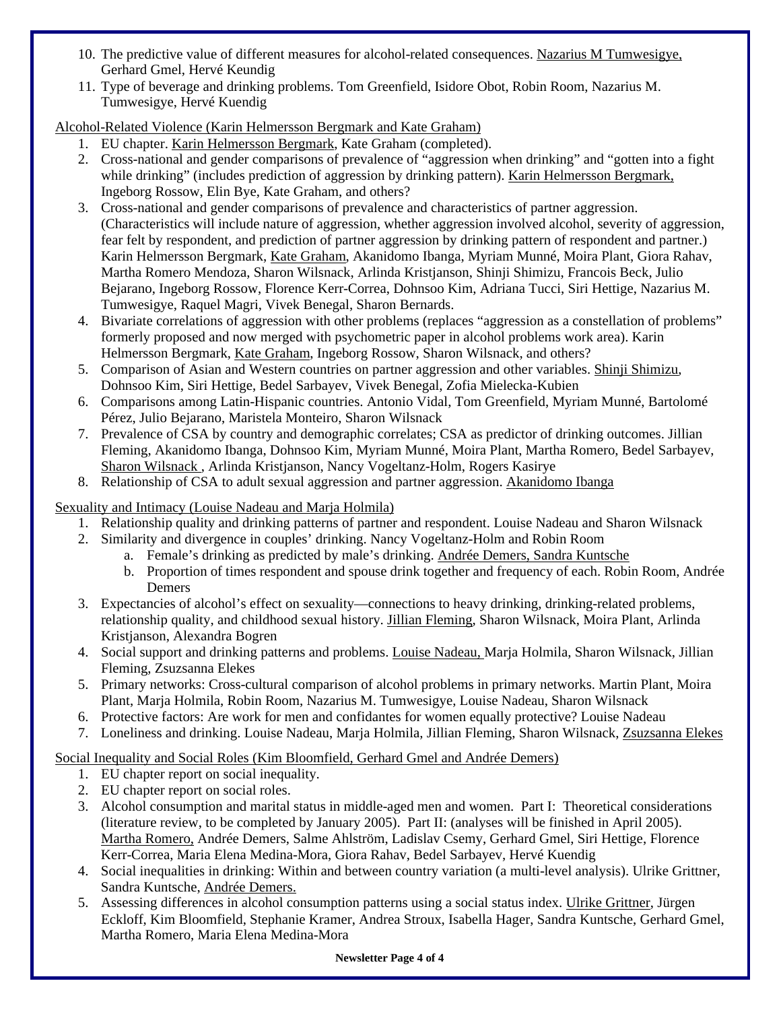- 10. The predictive value of different measures for alcohol-related consequences. Nazarius M Tumwesigye, Gerhard Gmel, Hervé Keundig
- 11. Type of beverage and drinking problems. Tom Greenfield, Isidore Obot, Robin Room, Nazarius M. Tumwesigye, Hervé Kuendig

Alcohol-Related Violence (Karin Helmersson Bergmark and Kate Graham)

- 1. EU chapter. Karin Helmersson Bergmark, Kate Graham (completed).
- 2. Cross-national and gender comparisons of prevalence of "aggression when drinking" and "gotten into a fight while drinking" (includes prediction of aggression by drinking pattern). Karin Helmersson Bergmark, Ingeborg Rossow, Elin Bye, Kate Graham, and others?
- 3. Cross-national and gender comparisons of prevalence and characteristics of partner aggression. (Characteristics will include nature of aggression, whether aggression involved alcohol, severity of aggression, fear felt by respondent, and prediction of partner aggression by drinking pattern of respondent and partner.) Karin Helmersson Bergmark, Kate Graham, Akanidomo Ibanga, Myriam Munné, Moira Plant, Giora Rahav, Martha Romero Mendoza, Sharon Wilsnack, Arlinda Kristjanson, Shinji Shimizu, Francois Beck, Julio Bejarano, Ingeborg Rossow, Florence Kerr-Correa, Dohnsoo Kim, Adriana Tucci, Siri Hettige, Nazarius M. Tumwesigye, Raquel Magri, Vivek Benegal, Sharon Bernards.
- 4. Bivariate correlations of aggression with other problems (replaces "aggression as a constellation of problems" formerly proposed and now merged with psychometric paper in alcohol problems work area). Karin Helmersson Bergmark, Kate Graham, Ingeborg Rossow, Sharon Wilsnack, and others?
- 5. Comparison of Asian and Western countries on partner aggression and other variables. Shinji Shimizu, Dohnsoo Kim, Siri Hettige, Bedel Sarbayev, Vivek Benegal, Zofia Mielecka-Kubien
- 6. Comparisons among Latin-Hispanic countries. Antonio Vidal, Tom Greenfield, Myriam Munné, Bartolomé Pérez, Julio Bejarano, Maristela Monteiro, Sharon Wilsnack
- 7. Prevalence of CSA by country and demographic correlates; CSA as predictor of drinking outcomes. Jillian Fleming, Akanidomo Ibanga, Dohnsoo Kim, Myriam Munné, Moira Plant, Martha Romero, Bedel Sarbayev, Sharon Wilsnack , Arlinda Kristjanson, Nancy Vogeltanz-Holm, Rogers Kasirye
- 8. Relationship of CSA to adult sexual aggression and partner aggression. Akanidomo Ibanga

# Sexuality and Intimacy (Louise Nadeau and Marja Holmila)

- 1. Relationship quality and drinking patterns of partner and respondent. Louise Nadeau and Sharon Wilsnack
- 2. Similarity and divergence in couples' drinking. Nancy Vogeltanz-Holm and Robin Room
	- a. Female's drinking as predicted by male's drinking. Andrée Demers, Sandra Kuntsche
	- b. Proportion of times respondent and spouse drink together and frequency of each. Robin Room, Andrée Demers
- 3. Expectancies of alcohol's effect on sexuality—connections to heavy drinking, drinking-related problems, relationship quality, and childhood sexual history. Jillian Fleming, Sharon Wilsnack, Moira Plant, Arlinda Kristjanson, Alexandra Bogren
- 4. Social support and drinking patterns and problems. Louise Nadeau, Marja Holmila, Sharon Wilsnack, Jillian Fleming, Zsuzsanna Elekes
- 5. Primary networks: Cross-cultural comparison of alcohol problems in primary networks. Martin Plant, Moira Plant, Marja Holmila, Robin Room, Nazarius M. Tumwesigye, Louise Nadeau, Sharon Wilsnack
- 6. Protective factors: Are work for men and confidantes for women equally protective? Louise Nadeau
- 7. Loneliness and drinking. Louise Nadeau, Marja Holmila, Jillian Fleming, Sharon Wilsnack, Zsuzsanna Elekes

# Social Inequality and Social Roles (Kim Bloomfield, Gerhard Gmel and Andrée Demers)

- 1. EU chapter report on social inequality.
- 2. EU chapter report on social roles.
- 3. Alcohol consumption and marital status in middle-aged men and women. Part I: Theoretical considerations (literature review, to be completed by January 2005). Part II: (analyses will be finished in April 2005). Martha Romero, Andrée Demers, Salme Ahlström, Ladislav Csemy, Gerhard Gmel, Siri Hettige, Florence Kerr-Correa, Maria Elena Medina-Mora, Giora Rahav, Bedel Sarbayev, Hervé Kuendig
- 4. Social inequalities in drinking: Within and between country variation (a multi-level analysis). Ulrike Grittner, Sandra Kuntsche, Andrée Demers.
- 5. Assessing differences in alcohol consumption patterns using a social status index. Ulrike Grittner, Jürgen Eckloff, Kim Bloomfield, Stephanie Kramer, Andrea Stroux, Isabella Hager, Sandra Kuntsche, Gerhard Gmel, Martha Romero, Maria Elena Medina-Mora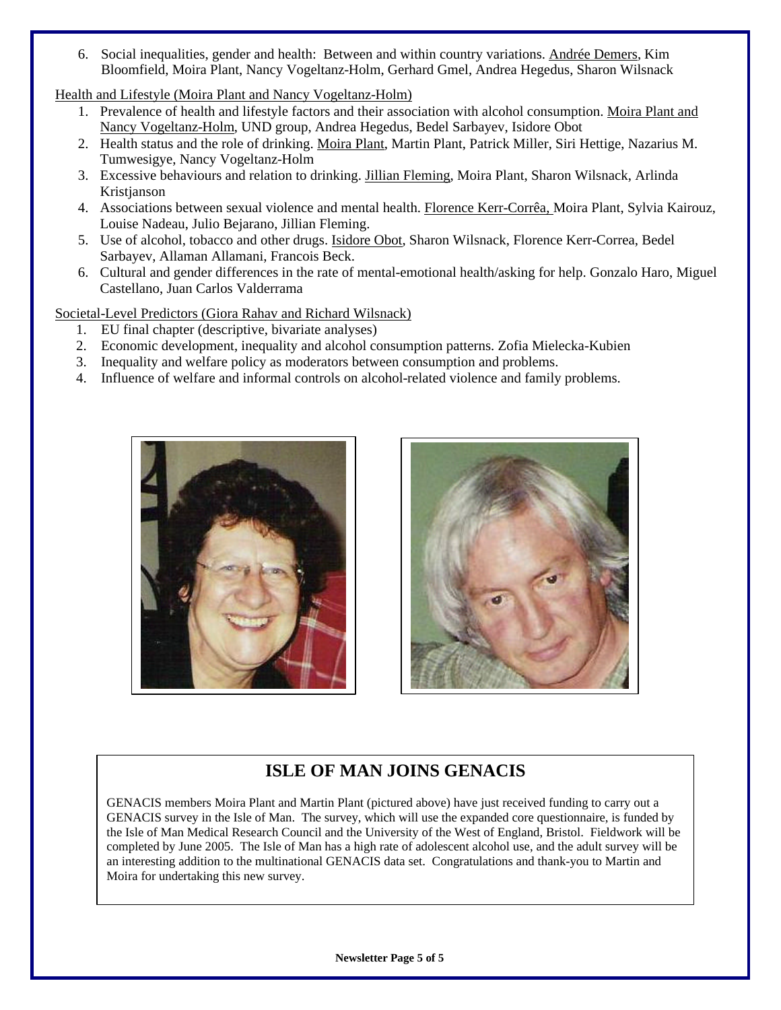6. Social inequalities, gender and health: Between and within country variations. Andrée Demers, Kim Bloomfield, Moira Plant, Nancy Vogeltanz-Holm, Gerhard Gmel, Andrea Hegedus, Sharon Wilsnack

Health and Lifestyle (Moira Plant and Nancy Vogeltanz-Holm)

- 1. Prevalence of health and lifestyle factors and their association with alcohol consumption. Moira Plant and Nancy Vogeltanz-Holm, UND group, Andrea Hegedus, Bedel Sarbayev, Isidore Obot
- 2. Health status and the role of drinking. Moira Plant, Martin Plant, Patrick Miller, Siri Hettige, Nazarius M. Tumwesigye, Nancy Vogeltanz-Holm
- 3. Excessive behaviours and relation to drinking. Jillian Fleming, Moira Plant, Sharon Wilsnack, Arlinda Kristjanson
- 4. Associations between sexual violence and mental health. Florence Kerr-Corrêa, Moira Plant, Sylvia Kairouz, Louise Nadeau, Julio Bejarano, Jillian Fleming.
- 5. Use of alcohol, tobacco and other drugs. Isidore Obot, Sharon Wilsnack, Florence Kerr-Correa, Bedel Sarbayev, Allaman Allamani, Francois Beck.
- 6. Cultural and gender differences in the rate of mental-emotional health/asking for help. Gonzalo Haro, Miguel Castellano, Juan Carlos Valderrama

Societal-Level Predictors (Giora Rahav and Richard Wilsnack)

- 1. EU final chapter (descriptive, bivariate analyses)
- 2. Economic development, inequality and alcohol consumption patterns. Zofia Mielecka-Kubien
- 3. Inequality and welfare policy as moderators between consumption and problems.
- 4. Influence of welfare and informal controls on alcohol-related violence and family problems.





# **ISLE OF MAN JOINS GENACIS**

GENACIS members Moira Plant and Martin Plant (pictured above) have just received funding to carry out a GENACIS survey in the Isle of Man. The survey, which will use the expanded core questionnaire, is funded by the Isle of Man Medical Research Council and the University of the West of England, Bristol. Fieldwork will be completed by June 2005. The Isle of Man has a high rate of adolescent alcohol use, and the adult survey will be an interesting addition to the multinational GENACIS data set. Congratulations and thank-you to Martin and Moira for undertaking this new survey.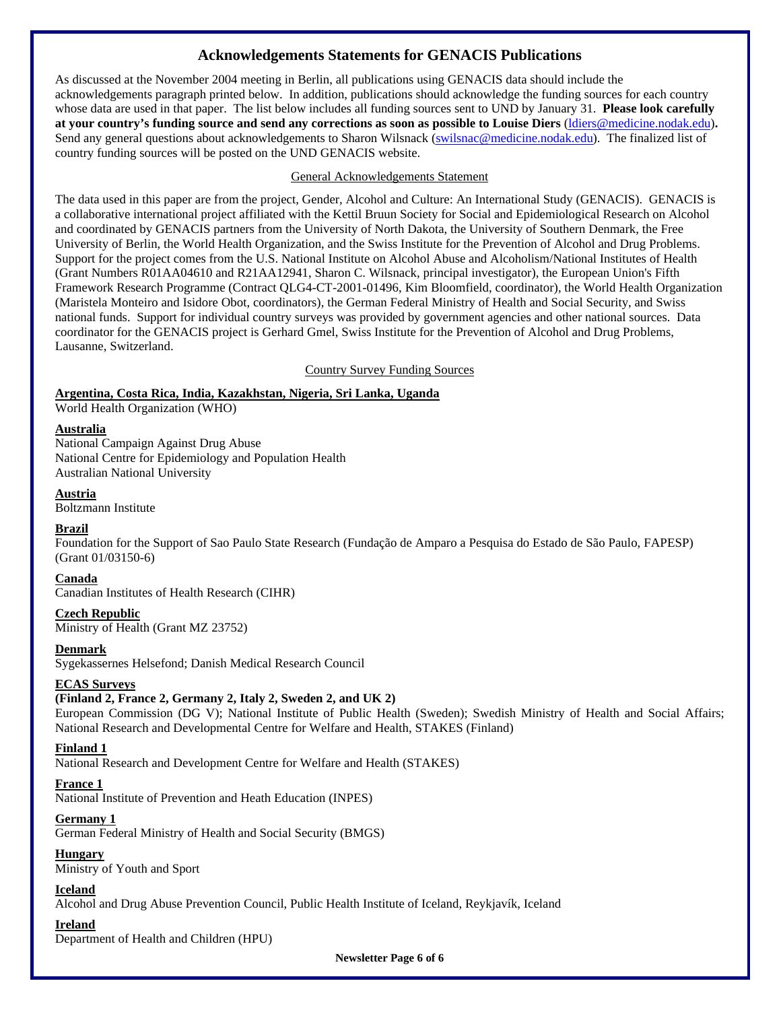# **Acknowledgements Statements for GENACIS Publications**

As discussed at the November 2004 meeting in Berlin, all publications using GENACIS data should include the acknowledgements paragraph printed below. In addition, publications should acknowledge the funding sources for each country whose data are used in that paper. The list below includes all funding sources sent to UND by January 31. **Please look carefully at your country's funding source and send any corrections as soon as possible to Louise Diers** (ldiers@medicine.nodak.edu)**.** Send any general questions about acknowledgements to Sharon Wilsnack (swilsnac@medicine.nodak.edu). The finalized list of country funding sources will be posted on the UND GENACIS website.

#### General Acknowledgements Statement

The data used in this paper are from the project, Gender, Alcohol and Culture: An International Study (GENACIS). GENACIS is a collaborative international project affiliated with the Kettil Bruun Society for Social and Epidemiological Research on Alcohol and coordinated by GENACIS partners from the University of North Dakota, the University of Southern Denmark, the Free University of Berlin, the World Health Organization, and the Swiss Institute for the Prevention of Alcohol and Drug Problems. Support for the project comes from the U.S. National Institute on Alcohol Abuse and Alcoholism/National Institutes of Health (Grant Numbers R01AA04610 and R21AA12941, Sharon C. Wilsnack, principal investigator), the European Union's Fifth Framework Research Programme (Contract QLG4-CT-2001-01496, Kim Bloomfield, coordinator), the World Health Organization (Maristela Monteiro and Isidore Obot, coordinators), the German Federal Ministry of Health and Social Security, and Swiss national funds. Support for individual country surveys was provided by government agencies and other national sources. Data coordinator for the GENACIS project is Gerhard Gmel, Swiss Institute for the Prevention of Alcohol and Drug Problems, Lausanne, Switzerland.

Country Survey Funding Sources

#### **Argentina, Costa Rica, India, Kazakhstan, Nigeria, Sri Lanka, Uganda**

World Health Organization (WHO)

#### **Australia**

National Campaign Against Drug Abuse National Centre for Epidemiology and Population Health Australian National University

#### **Austria**

Boltzmann Institute

#### **Brazil**

Foundation for the Support of Sao Paulo State Research (Fundação de Amparo a Pesquisa do Estado de São Paulo, FAPESP) (Grant 01/03150-6)

#### **Canada**

Canadian Institutes of Health Research (CIHR)

#### **Czech Republic**

Ministry of Health (Grant MZ 23752)

#### **Denmark**

Sygekassernes Helsefond; Danish Medical Research Council

#### **ECAS Surveys**

#### **(Finland 2, France 2, Germany 2, Italy 2, Sweden 2, and UK 2)**

European Commission (DG V); National Institute of Public Health (Sweden); Swedish Ministry of Health and Social Affairs; National Research and Developmental Centre for Welfare and Health, STAKES (Finland)

#### **Finland 1**

National Research and Development Centre for Welfare and Health (STAKES)

#### **France 1**

National Institute of Prevention and Heath Education (INPES)

#### **Germany 1**

German Federal Ministry of Health and Social Security (BMGS)

#### **Hungary**

Ministry of Youth and Sport

#### **Iceland**

Alcohol and Drug Abuse Prevention Council, Public Health Institute of Iceland, Reykjavík, Iceland

#### **Ireland**

Department of Health and Children (HPU)

**Newsletter Page 6 of 6**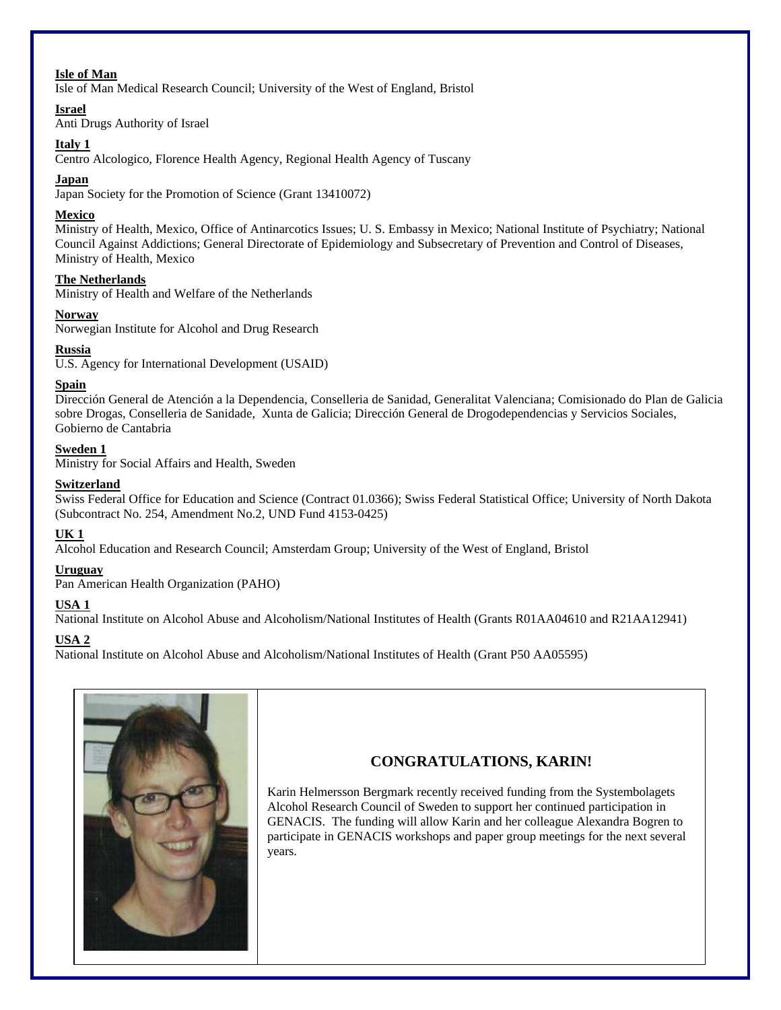#### **Isle of Man**

Isle of Man Medical Research Council; University of the West of England, Bristol

#### **Israel**

Anti Drugs Authority of Israel

#### **Italy 1**

Centro Alcologico, Florence Health Agency, Regional Health Agency of Tuscany

#### **Japan**

Japan Society for the Promotion of Science (Grant 13410072)

#### **Mexico**

Ministry of Health, Mexico, Office of Antinarcotics Issues; U. S. Embassy in Mexico; National Institute of Psychiatry; National Council Against Addictions; General Directorate of Epidemiology and Subsecretary of Prevention and Control of Diseases, Ministry of Health, Mexico

#### **The Netherlands**

Ministry of Health and Welfare of the Netherlands

#### **Norway**

Norwegian Institute for Alcohol and Drug Research

#### **Russia**

U.S. Agency for International Development (USAID)

#### **Spain**

Dirección General de Atención a la Dependencia, Conselleria de Sanidad, Generalitat Valenciana; Comisionado do Plan de Galicia sobre Drogas, Conselleria de Sanidade, Xunta de Galicia; Dirección General de Drogodependencias y Servicios Sociales, Gobierno de Cantabria

#### **Sweden 1**

Ministry for Social Affairs and Health, Sweden

#### **Switzerland**

Swiss Federal Office for Education and Science (Contract 01.0366); Swiss Federal Statistical Office; University of North Dakota (Subcontract No. 254, Amendment No.2, UND Fund 4153-0425)

#### **UK 1**

Alcohol Education and Research Council; Amsterdam Group; University of the West of England, Bristol

#### **Uruguay**

Pan American Health Organization (PAHO)

#### **USA 1**

National Institute on Alcohol Abuse and Alcoholism/National Institutes of Health (Grants R01AA04610 and R21AA12941)

#### **USA 2**

National Institute on Alcohol Abuse and Alcoholism/National Institutes of Health (Grant P50 AA05595)



# **CONGRATULATIONS, KARIN!**

Karin Helmersson Bergmark recently received funding from the Systembolagets Alcohol Research Council of Sweden to support her continued participation in GENACIS. The funding will allow Karin and her colleague Alexandra Bogren to participate in GENACIS workshops and paper group meetings for the next several years.